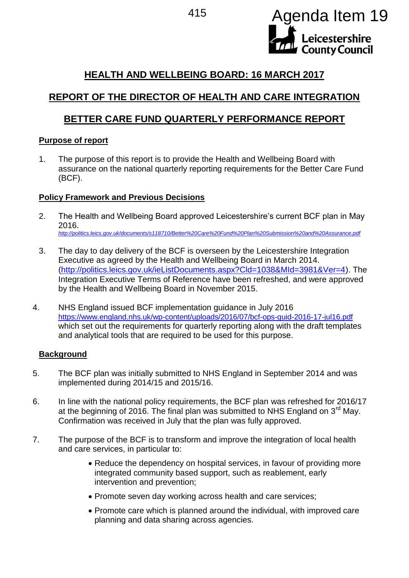

# **HEALTH AND WELLBEING BOARD: 16 MARCH 2017**

# **REPORT OF THE DIRECTOR OF HEALTH AND CARE INTEGRATION**

# **BETTER CARE FUND QUARTERLY PERFORMANCE REPORT**

### **Purpose of report**

1. The purpose of this report is to provide the Health and Wellbeing Board with assurance on the national quarterly reporting requirements for the Better Care Fund (BCF).

## **Policy Framework and Previous Decisions**

- 2. The Health and Wellbeing Board approved Leicestershire's current BCF plan in May 2016. *<http://politics.leics.gov.uk/documents/s118710/Better%20Care%20Fund%20Plan%20Submission%20and%20Assurance.pdf>*
- 3. The day to day delivery of the BCF is overseen by the Leicestershire Integration Executive as agreed by the Health and Wellbeing Board in March 2014. [\(http://politics.leics.gov.uk/ieListDocuments.aspx?Cld=1038&MId=3981&Ver=4\)](http://politics.leics.gov.uk/ieListDocuments.aspx?Cld=1038&MId=3981&Ver=4). The Integration Executive Terms of Reference have been refreshed, and were approved by the Health and Wellbeing Board in November 2015.
- 4. NHS England issued BCF implementation guidance in July 2016 <https://www.england.nhs.uk/wp-content/uploads/2016/07/bcf-ops-guid-2016-17-jul16.pdf> which set out the requirements for quarterly reporting along with the draft templates and analytical tools that are required to be used for this purpose.

## **Background**

- 5. The BCF plan was initially submitted to NHS England in September 2014 and was implemented during 2014/15 and 2015/16.
- 6. In line with the national policy requirements, the BCF plan was refreshed for 2016/17 at the beginning of 2016. The final plan was submitted to NHS England on  $3<sup>rd</sup>$  May. Confirmation was received in July that the plan was fully approved.
- 7. The purpose of the BCF is to transform and improve the integration of local health and care services, in particular to:
	- Reduce the dependency on hospital services, in favour of providing more integrated community based support, such as reablement, early intervention and prevention;
	- Promote seven day working across health and care services;
	- Promote care which is planned around the individual, with improved care planning and data sharing across agencies.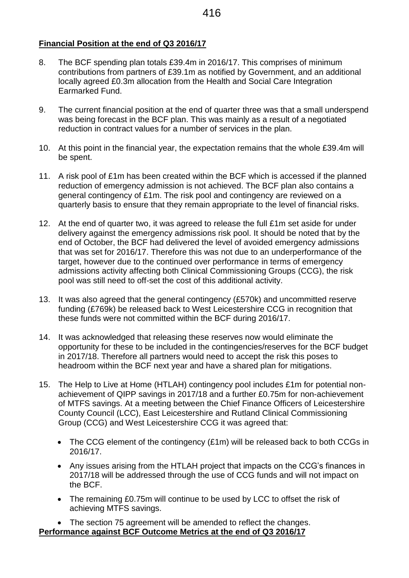### **Financial Position at the end of Q3 2016/17**

- 8. The BCF spending plan totals £39.4m in 2016/17. This comprises of minimum contributions from partners of £39.1m as notified by Government, and an additional locally agreed £0.3m allocation from the Health and Social Care Integration Earmarked Fund.
- 9. The current financial position at the end of quarter three was that a small underspend was being forecast in the BCF plan. This was mainly as a result of a negotiated reduction in contract values for a number of services in the plan.
- 10. At this point in the financial year, the expectation remains that the whole £39.4m will be spent.
- 11. A risk pool of £1m has been created within the BCF which is accessed if the planned reduction of emergency admission is not achieved. The BCF plan also contains a general contingency of £1m. The risk pool and contingency are reviewed on a quarterly basis to ensure that they remain appropriate to the level of financial risks.
- 12. At the end of quarter two, it was agreed to release the full £1m set aside for under delivery against the emergency admissions risk pool. It should be noted that by the end of October, the BCF had delivered the level of avoided emergency admissions that was set for 2016/17. Therefore this was not due to an underperformance of the target, however due to the continued over performance in terms of emergency admissions activity affecting both Clinical Commissioning Groups (CCG), the risk pool was still need to off-set the cost of this additional activity.
- 13. It was also agreed that the general contingency (£570k) and uncommitted reserve funding (£769k) be released back to West Leicestershire CCG in recognition that these funds were not committed within the BCF during 2016/17.
- 14. It was acknowledged that releasing these reserves now would eliminate the opportunity for these to be included in the contingencies/reserves for the BCF budget in 2017/18. Therefore all partners would need to accept the risk this poses to headroom within the BCF next year and have a shared plan for mitigations.
- 15. The Help to Live at Home (HTLAH) contingency pool includes £1m for potential nonachievement of QIPP savings in 2017/18 and a further £0.75m for non-achievement of MTFS savings. At a meeting between the Chief Finance Officers of Leicestershire County Council (LCC), East Leicestershire and Rutland Clinical Commissioning Group (CCG) and West Leicestershire CCG it was agreed that:
	- The CCG element of the contingency (£1m) will be released back to both CCGs in 2016/17.
	- Any issues arising from the HTLAH project that impacts on the CCG's finances in 2017/18 will be addressed through the use of CCG funds and will not impact on the BCF.
	- The remaining £0.75m will continue to be used by LCC to offset the risk of achieving MTFS savings.

• The section 75 agreement will be amended to reflect the changes. **Performance against BCF Outcome Metrics at the end of Q3 2016/17**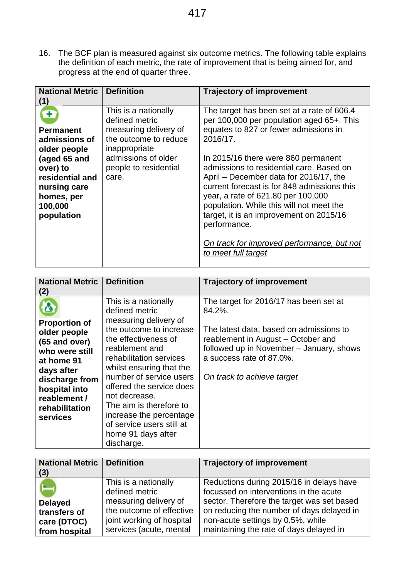16. The BCF plan is measured against six outcome metrics. The following table explains the definition of each metric, the rate of improvement that is being aimed for, and progress at the end of quarter three.

| <b>National Metric</b><br>(1)                                                                                                                                | <b>Definition</b>                                                                                                                                                  | <b>Trajectory of improvement</b>                                                                                                                                                                                                                                                                                                                                                                                                                                                                                                           |
|--------------------------------------------------------------------------------------------------------------------------------------------------------------|--------------------------------------------------------------------------------------------------------------------------------------------------------------------|--------------------------------------------------------------------------------------------------------------------------------------------------------------------------------------------------------------------------------------------------------------------------------------------------------------------------------------------------------------------------------------------------------------------------------------------------------------------------------------------------------------------------------------------|
| Ŧ<br><b>Permanent</b><br>admissions of<br>older people<br>(aged 65 and<br>over) to<br>residential and<br>nursing care<br>homes, per<br>100,000<br>population | This is a nationally<br>defined metric<br>measuring delivery of<br>the outcome to reduce<br>inappropriate<br>admissions of older<br>people to residential<br>care. | The target has been set at a rate of 606.4<br>per 100,000 per population aged 65+. This<br>equates to 827 or fewer admissions in<br>2016/17.<br>In 2015/16 there were 860 permanent<br>admissions to residential care. Based on<br>April – December data for 2016/17, the<br>current forecast is for 848 admissions this<br>year, a rate of 621.80 per 100,000<br>population. While this will not meet the<br>target, it is an improvement on 2015/16<br>performance.<br>On track for improved performance, but not<br>to meet full target |

| <b>National Metric</b><br>(2)                                                                                                                                                        | <b>Definition</b>                                                                                                                                                                                                                                                                                                                                                                          | <b>Trajectory of improvement</b>                                                                                                                                                                                                        |
|--------------------------------------------------------------------------------------------------------------------------------------------------------------------------------------|--------------------------------------------------------------------------------------------------------------------------------------------------------------------------------------------------------------------------------------------------------------------------------------------------------------------------------------------------------------------------------------------|-----------------------------------------------------------------------------------------------------------------------------------------------------------------------------------------------------------------------------------------|
| <b>Proportion of</b><br>older people<br>(65 and over)<br>who were still<br>at home 91<br>days after<br>discharge from<br>hospital into<br>reablement /<br>rehabilitation<br>services | This is a nationally<br>defined metric<br>measuring delivery of<br>the outcome to increase<br>the effectiveness of<br>reablement and<br>rehabilitation services<br>whilst ensuring that the<br>number of service users<br>offered the service does<br>not decrease.<br>The aim is therefore to<br>increase the percentage<br>of service users still at<br>home 91 days after<br>discharge. | The target for 2016/17 has been set at<br>84.2%.<br>The latest data, based on admissions to<br>reablement in August - October and<br>followed up in November - January, shows<br>a success rate of 87.0%.<br>On track to achieve target |

| <b>National Metric   Definition</b><br>(3)                     |                                                                                                                                                     | <b>Trajectory of improvement</b>                                                                                                                                                                                                                              |
|----------------------------------------------------------------|-----------------------------------------------------------------------------------------------------------------------------------------------------|---------------------------------------------------------------------------------------------------------------------------------------------------------------------------------------------------------------------------------------------------------------|
| <b>Delayed</b><br>transfers of<br>care (DTOC)<br>from hospital | This is a nationally<br>defined metric<br>measuring delivery of<br>the outcome of effective<br>joint working of hospital<br>services (acute, mental | Reductions during 2015/16 in delays have<br>focussed on interventions in the acute<br>sector. Therefore the target was set based<br>on reducing the number of days delayed in<br>non-acute settings by 0.5%, while<br>maintaining the rate of days delayed in |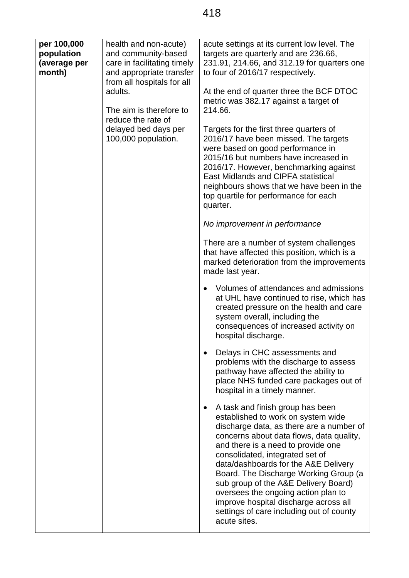| per 100,000<br>population<br>(average per<br>month) | health and non-acute)<br>and community-based<br>care in facilitating timely<br>and appropriate transfer<br>from all hospitals for all<br>adults.<br>The aim is therefore to<br>reduce the rate of<br>delayed bed days per<br>100,000 population. | acute settings at its current low level. The<br>targets are quarterly and are 236.66,<br>231.91, 214.66, and 312.19 for quarters one<br>to four of 2016/17 respectively.<br>At the end of quarter three the BCF DTOC<br>metric was 382.17 against a target of<br>214.66.<br>Targets for the first three quarters of<br>2016/17 have been missed. The targets<br>were based on good performance in<br>2015/16 but numbers have increased in<br>2016/17. However, benchmarking against                         |
|-----------------------------------------------------|--------------------------------------------------------------------------------------------------------------------------------------------------------------------------------------------------------------------------------------------------|--------------------------------------------------------------------------------------------------------------------------------------------------------------------------------------------------------------------------------------------------------------------------------------------------------------------------------------------------------------------------------------------------------------------------------------------------------------------------------------------------------------|
|                                                     |                                                                                                                                                                                                                                                  | East Midlands and CIPFA statistical<br>neighbours shows that we have been in the<br>top quartile for performance for each<br>quarter.                                                                                                                                                                                                                                                                                                                                                                        |
|                                                     |                                                                                                                                                                                                                                                  | No improvement in performance                                                                                                                                                                                                                                                                                                                                                                                                                                                                                |
|                                                     |                                                                                                                                                                                                                                                  | There are a number of system challenges<br>that have affected this position, which is a<br>marked deterioration from the improvements<br>made last year.                                                                                                                                                                                                                                                                                                                                                     |
|                                                     |                                                                                                                                                                                                                                                  | Volumes of attendances and admissions<br>$\bullet$<br>at UHL have continued to rise, which has<br>created pressure on the health and care<br>system overall, including the<br>consequences of increased activity on<br>hospital discharge.                                                                                                                                                                                                                                                                   |
|                                                     |                                                                                                                                                                                                                                                  | Delays in CHC assessments and<br>problems with the discharge to assess<br>pathway have affected the ability to<br>place NHS funded care packages out of<br>hospital in a timely manner.                                                                                                                                                                                                                                                                                                                      |
|                                                     |                                                                                                                                                                                                                                                  | A task and finish group has been<br>established to work on system wide<br>discharge data, as there are a number of<br>concerns about data flows, data quality,<br>and there is a need to provide one<br>consolidated, integrated set of<br>data/dashboards for the A&E Delivery<br>Board. The Discharge Working Group (a<br>sub group of the A&E Delivery Board)<br>oversees the ongoing action plan to<br>improve hospital discharge across all<br>settings of care including out of county<br>acute sites. |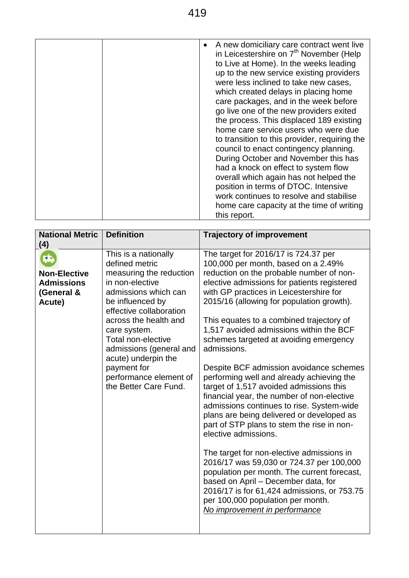| A new domiciliary care contract went live<br>in Leicestershire on 7 <sup>th</sup> November (Help<br>to Live at Home). In the weeks leading<br>up to the new service existing providers<br>were less inclined to take new cases,<br>which created delays in placing home<br>care packages, and in the week before<br>go live one of the new providers exited<br>the process. This displaced 189 existing<br>home care service users who were due<br>to transition to this provider, requiring the<br>council to enact contingency planning.<br>During October and November this has<br>had a knock on effect to system flow<br>overall which again has not helped the<br>position in terms of DTOC. Intensive<br>work continues to resolve and stabilise<br>home care capacity at the time of writing |              |
|------------------------------------------------------------------------------------------------------------------------------------------------------------------------------------------------------------------------------------------------------------------------------------------------------------------------------------------------------------------------------------------------------------------------------------------------------------------------------------------------------------------------------------------------------------------------------------------------------------------------------------------------------------------------------------------------------------------------------------------------------------------------------------------------------|--------------|
|                                                                                                                                                                                                                                                                                                                                                                                                                                                                                                                                                                                                                                                                                                                                                                                                      | this report. |

| <b>National Metric</b><br>(4)                                           | <b>Definition</b>                                                                                                                                                                                                                                                                                                                              | <b>Trajectory of improvement</b>                                                                                                                                                                                                                                                                                                                                                                                                                                                                                                                                                                                                                                                                                                                                                                                                                                                                                                                                                                                                                                    |
|-------------------------------------------------------------------------|------------------------------------------------------------------------------------------------------------------------------------------------------------------------------------------------------------------------------------------------------------------------------------------------------------------------------------------------|---------------------------------------------------------------------------------------------------------------------------------------------------------------------------------------------------------------------------------------------------------------------------------------------------------------------------------------------------------------------------------------------------------------------------------------------------------------------------------------------------------------------------------------------------------------------------------------------------------------------------------------------------------------------------------------------------------------------------------------------------------------------------------------------------------------------------------------------------------------------------------------------------------------------------------------------------------------------------------------------------------------------------------------------------------------------|
| RD.<br><b>Non-Elective</b><br><b>Admissions</b><br>(General &<br>Acute) | This is a nationally<br>defined metric<br>measuring the reduction<br>in non-elective<br>admissions which can<br>be influenced by<br>effective collaboration<br>across the health and<br>care system.<br>Total non-elective<br>admissions (general and<br>acute) underpin the<br>payment for<br>performance element of<br>the Better Care Fund. | The target for 2016/17 is 724.37 per<br>100,000 per month, based on a 2.49%<br>reduction on the probable number of non-<br>elective admissions for patients registered<br>with GP practices in Leicestershire for<br>2015/16 (allowing for population growth).<br>This equates to a combined trajectory of<br>1,517 avoided admissions within the BCF<br>schemes targeted at avoiding emergency<br>admissions.<br>Despite BCF admission avoidance schemes<br>performing well and already achieving the<br>target of 1,517 avoided admissions this<br>financial year, the number of non-elective<br>admissions continues to rise. System-wide<br>plans are being delivered or developed as<br>part of STP plans to stem the rise in non-<br>elective admissions.<br>The target for non-elective admissions in<br>2016/17 was 59,030 or 724.37 per 100,000<br>population per month. The current forecast,<br>based on April - December data, for<br>2016/17 is for 61,424 admissions, or 753.75<br>per 100,000 population per month.<br>No improvement in performance |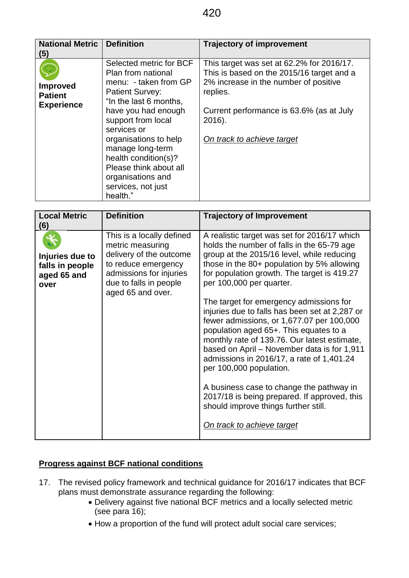| <b>National Metric</b><br>(5)                          | <b>Definition</b>                                                                                                                                                                                                                                                                                                                            | <b>Trajectory of improvement</b>                                                                                                                                                                                                |
|--------------------------------------------------------|----------------------------------------------------------------------------------------------------------------------------------------------------------------------------------------------------------------------------------------------------------------------------------------------------------------------------------------------|---------------------------------------------------------------------------------------------------------------------------------------------------------------------------------------------------------------------------------|
| <b>Improved</b><br><b>Patient</b><br><b>Experience</b> | Selected metric for BCF<br>Plan from national<br>menu: - taken from GP<br><b>Patient Survey:</b><br>"In the last 6 months,<br>have you had enough<br>support from local<br>services or<br>organisations to help<br>manage long-term<br>health condition(s)?<br>Please think about all<br>organisations and<br>services, not just<br>health." | This target was set at 62.2% for 2016/17.<br>This is based on the 2015/16 target and a<br>2% increase in the number of positive<br>replies.<br>Current performance is 63.6% (as at July<br>2016).<br>On track to achieve target |

| <b>Local Metric</b><br>(6)                                | <b>Definition</b>                                                                                                                                                         | <b>Trajectory of Improvement</b>                                                                                                                                                                                                                                                                                                                                                                                                                                                                                                                                                                                                                                                                                                                                                               |
|-----------------------------------------------------------|---------------------------------------------------------------------------------------------------------------------------------------------------------------------------|------------------------------------------------------------------------------------------------------------------------------------------------------------------------------------------------------------------------------------------------------------------------------------------------------------------------------------------------------------------------------------------------------------------------------------------------------------------------------------------------------------------------------------------------------------------------------------------------------------------------------------------------------------------------------------------------------------------------------------------------------------------------------------------------|
| Injuries due to<br>falls in people<br>aged 65 and<br>over | This is a locally defined<br>metric measuring<br>delivery of the outcome<br>to reduce emergency<br>admissions for injuries<br>due to falls in people<br>aged 65 and over. | A realistic target was set for 2016/17 which<br>holds the number of falls in the 65-79 age<br>group at the 2015/16 level, while reducing<br>those in the 80+ population by 5% allowing<br>for population growth. The target is 419.27<br>per 100,000 per quarter.<br>The target for emergency admissions for<br>injuries due to falls has been set at 2,287 or<br>fewer admissions, or 1,677.07 per 100,000<br>population aged 65+. This equates to a<br>monthly rate of 139.76. Our latest estimate,<br>based on April - November data is for 1,911<br>admissions in 2016/17, a rate of 1,401.24<br>per 100,000 population.<br>A business case to change the pathway in<br>2017/18 is being prepared. If approved, this<br>should improve things further still.<br>On track to achieve target |

# **Progress against BCF national conditions**

- 17. The revised policy framework and technical guidance for 2016/17 indicates that BCF plans must demonstrate assurance regarding the following:
	- Delivery against five national BCF metrics and a locally selected metric (see para  $16$ );
	- How a proportion of the fund will protect adult social care services;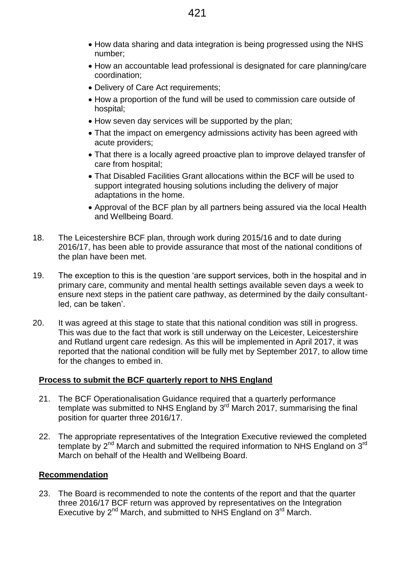- How data sharing and data integration is being progressed using the NHS number;
- How an accountable lead professional is designated for care planning/care coordination;
- Delivery of Care Act requirements:
- How a proportion of the fund will be used to commission care outside of hospital;
- How seven day services will be supported by the plan;
- That the impact on emergency admissions activity has been agreed with acute providers;
- That there is a locally agreed proactive plan to improve delayed transfer of care from hospital;
- That Disabled Facilities Grant allocations within the BCF will be used to support integrated housing solutions including the delivery of major adaptations in the home.
- Approval of the BCF plan by all partners being assured via the local Health and Wellbeing Board.
- 18. The Leicestershire BCF plan, through work during 2015/16 and to date during 2016/17, has been able to provide assurance that most of the national conditions of the plan have been met.
- 19. The exception to this is the question 'are support services, both in the hospital and in primary care, community and mental health settings available seven days a week to ensure next steps in the patient care pathway, as determined by the daily consultantled, can be taken'.
- 20. It was agreed at this stage to state that this national condition was still in progress. This was due to the fact that work is still underway on the Leicester, Leicestershire and Rutland urgent care redesign. As this will be implemented in April 2017, it was reported that the national condition will be fully met by September 2017, to allow time for the changes to embed in.

## **Process to submit the BCF quarterly report to NHS England**

- 21. The BCF Operationalisation Guidance required that a quarterly performance template was submitted to NHS England by  $3<sup>rd</sup>$  March 2017, summarising the final position for quarter three 2016/17.
- 22. The appropriate representatives of the Integration Executive reviewed the completed template by  $2^{nd}$  March and submitted the required information to NHS England on  $3^{rd}$ March on behalf of the Health and Wellbeing Board.

## **Recommendation**

23. The Board is recommended to note the contents of the report and that the quarter three 2016/17 BCF return was approved by representatives on the Integration Executive by  $2^{nd}$  March, and submitted to NHS England on  $3^{rd}$  March.